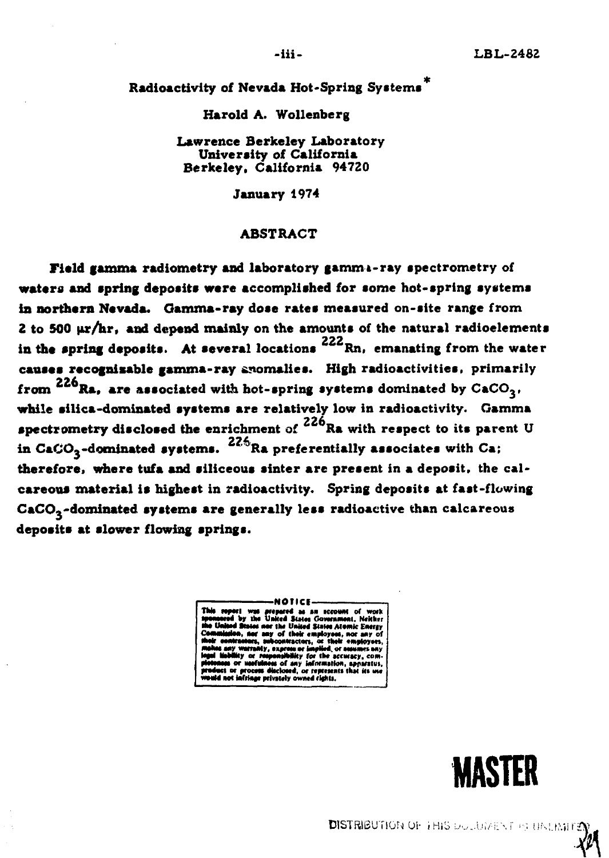Radioactivity of Nevada Hot-Spring Systems<sup>4</sup>

Harold A. Wollenberg

Lawrence Berkeley Laboratory University of California Berkelev. California 94720

**January 1974** 

#### **ABSTRACT**

Field gamma radiometry and laboratory gamma-ray spectrometry of waters and spring deposits were accomplished for some hot-spring systems in northern Nevada. Gamma-ray dose rates measured on-site range from 2 to 500  $\mu$ r/hr, and depend mainly on the amounts of the natural radioelements in the spring deposits. At several locations  $222$  Rn, emanating from the water causes recognizable gamma-ray anomalies. High radioactivities, primarily from  $226$ Ra. are associated with hot-spring systems dominated by  $CaCO<sub>3</sub>$ , while silica-dominated systems are relatively low in radioactivity. Gamma spectrometry disclosed the enrichment of  $226$ Ra with respect to its parent U in CaCO<sub>2</sub>-dominated systems.  $22\frac{6}{3}$ Ra preferentially associates with Ca; therefore, where tufa and siliceous sinter are present in a deposit, the calcareous material is highest in radioactivity. Spring deposits at fast-flowing  $CaCO<sub>3</sub>$ -dominated systems are generally less radioactive than calcareous deposits at slower flowing springs.

> MOTICE. repared as an account of work<br>Inited States Government, Neither the United States Atomic Energy of their employees, nor any of<br>contractors, or their employees, a ora Wy for the accuracy, com of any information, apparatus<br>closed, or represents that its us fringe privately owned rights.

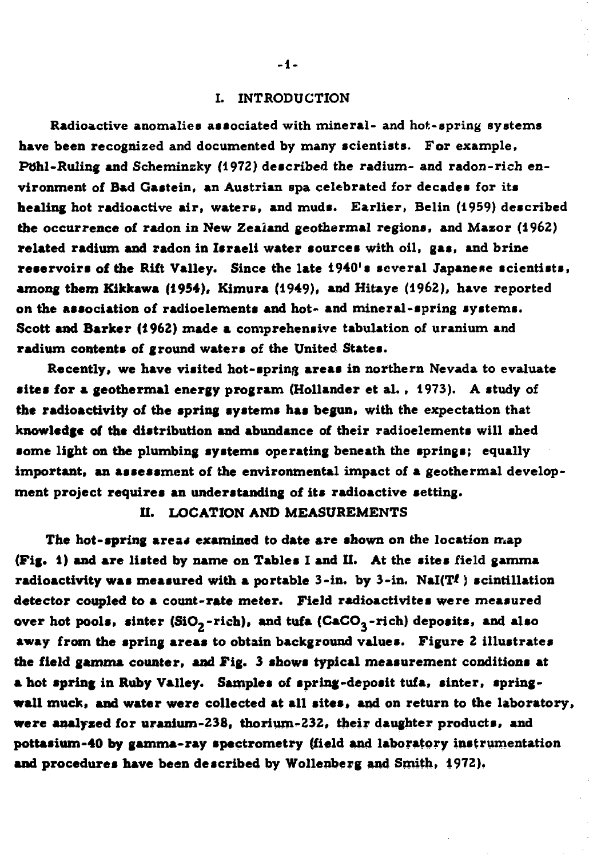### **I. INTRODUCTION**

**Radioactive anomalies associated with mineral- and hot-spring systems have been recognized and documented by many scientists. For example, POhl-Ruling and Scheminzky (1972) described the radium- and radon-rich environment of Bad Gastein, an Austrian spa celebrated for decades for its healing hot radioactive air, waters, and muds. Earlier, Belin (1959) described the occurrence** *o£* **radon in New Zealand geothermal regions, and Mazor (1962) related radium and radon in Israeli water sources with oil, gas, and brine reservoir s of the Rift Valley. Since the late 1940's several Japanese scientists, among them Kikkawa (1954), Kimura (1949), and Hitaye (1962), have reported on the association of radioelements and hot- and mineral-spring systems. Scott and Barker (1962) made a comprehensive tabulation of uranium and radium contents of ground waters of the United States.** 

**Recently, we have visited hot-spring areas in northern Nevada to evaluate sites for a geothermal energy program (Hollander et al., 1973). A study of the radioactivity of the spring systems has begun, with the expectation that knowledge of the distribution and abundance of their radioelements will shed some light on the plumbing systems operating beneath the springs; equally important, an assessment of the environmental impact of a geothermal development project requires an understanding of its radioactive setting.** 

### **II. LOCATION AND MEASUREMENTS**

The hot-spring areas examined to date are shown on the location map **(Fig. 1) and are listed by name on Tables I and II. At the sites field gamma radioactivity was measured with a portable 3-in. by 3-in. NaI(Ti ) scintillation detector coupled to a count-rate meter. Field radioactivites were measured**  over hot pools, sinter (SiO<sub>2</sub>-rich), and tufa (CaCO<sub>3</sub>-rich) deposits, and also **away from the spring areas to obtain background values. Figure 2 illustrates the field gamma counter, and Fig. 3 shows typical measurement conditions at a hot spring in Ruby Valley. Samples of spring-deposit tufa, sinter, springwall muck, and water were collected at all sites, and on return to the laboratory, were analysed for uranium-238, thorium-232, their daughter products, and pottasium-40 by gamma-ray spectrometry (field and laboratory instrumentation and procedures have been described by Wollenberg and Smith, 1972).**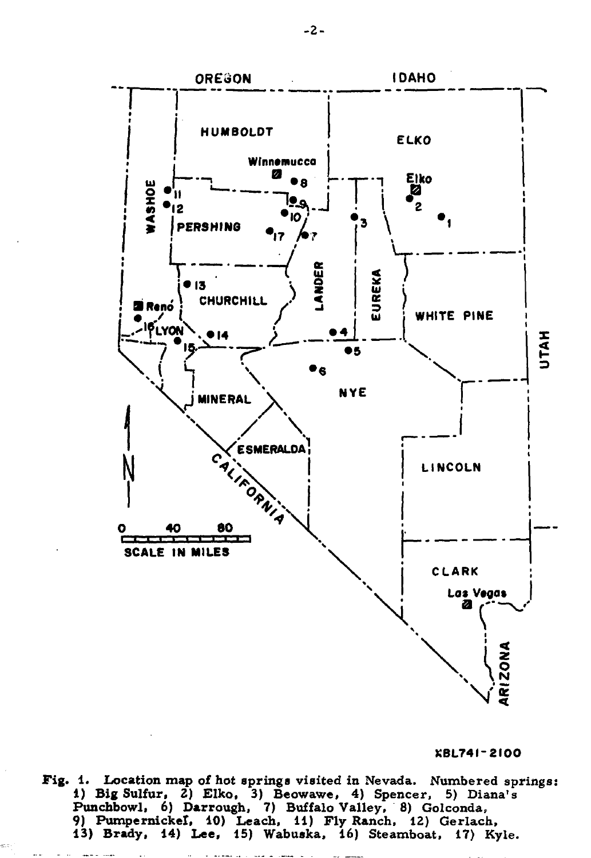

XBL741-2100

Fig. 1. Location map of hot springs visited in Nevada. Numbered springs: 1) Big Sulfur, 2) Elko, 3) Beowawe, 4) Spencer, 5) Diana's<br>Punchbowl, 6) Darrough, 7) Buffalo Valley, 8) Golconda,<br>9) Pumpernickef, 10) Leach, 11) Fly Ranch, 12) Gerlach, 13) Brady, 14) Lee, 15) Wabuska, 16) Steamboat, 17) Kyle.

 $-2-$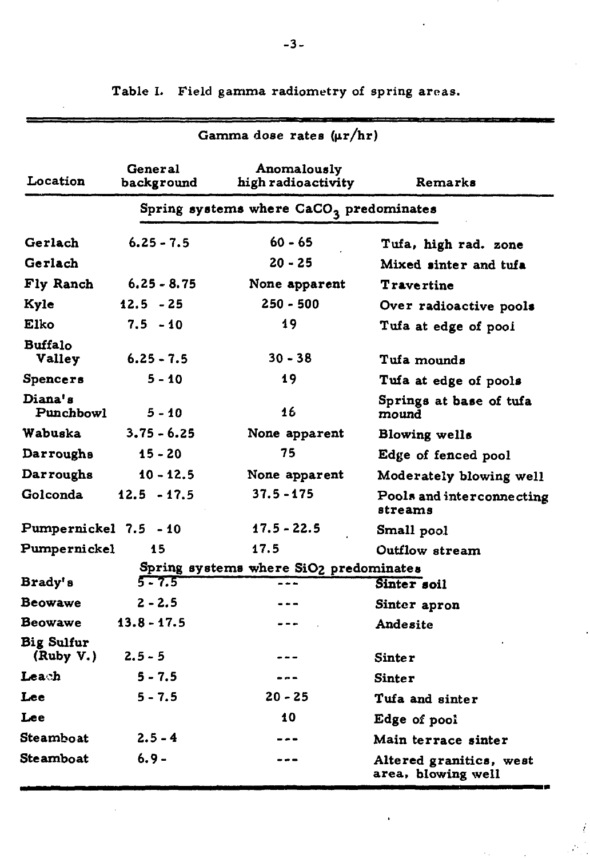| Gamma dose rates $(\mu r/hr)$  |                       |                                           |                                               |  |  |  |  |
|--------------------------------|-----------------------|-------------------------------------------|-----------------------------------------------|--|--|--|--|
| Location                       | General<br>background | Anomalously<br>high radioactivity         | Remarks                                       |  |  |  |  |
|                                |                       | Spring systems where $CaCO3$ predominates |                                               |  |  |  |  |
| Gerlach                        | $6.25 - 7.5$          | $60 - 65$                                 | Tufa, high rad. zone                          |  |  |  |  |
| Gerlach                        |                       | $20 - 25$                                 | Mixed sinter and tufa                         |  |  |  |  |
| Fly Ranch                      | $6.25 - 8.75$         | None apparent                             | <b>Travertine</b>                             |  |  |  |  |
| Kyle                           | $12.5 - 25$           | 250 - 500                                 | Over radioactive pools                        |  |  |  |  |
| Elko                           | $7.5 - 10$            | 19                                        | Tufa at edge of pool                          |  |  |  |  |
| Buffalo<br><b>Valley</b>       | $6.25 - 7.5$          | $30 - 38$                                 | Tufa mounds                                   |  |  |  |  |
| <b>Spencers</b>                | $5 - 10$              | 19                                        | Tufa at edge of pools                         |  |  |  |  |
| Diana's<br>Punchbowl           | 5 - 10                | 16                                        | Springs at base of tufa<br>mound              |  |  |  |  |
| Wabuska                        | $3.75 - 6.25$         | None apparent                             | Blowing wells                                 |  |  |  |  |
| Darroughs                      | 15 - 20               | 75                                        | Edge of fenced pool                           |  |  |  |  |
| Darroughs                      | $10 - 12.5$           | None apparent                             | Moderately blowing well                       |  |  |  |  |
| Golconda                       | $12.5 - 17.5$         | 37.5 - 175                                | Pools and interconnecting<br>streams          |  |  |  |  |
| Pumpernickel 7.5 - 10          |                       | 17.5 - 22.5                               | Small pool                                    |  |  |  |  |
| Pumpernickel                   | 15                    | 17.5                                      | Outflow stream                                |  |  |  |  |
|                                |                       | Spring systems where SiO2 predominates    |                                               |  |  |  |  |
| Brady's                        | $5 - 7.5$             | ---                                       | Sinter soil                                   |  |  |  |  |
| Beowawe                        | $2 - 2.5$             |                                           | Sinter apron                                  |  |  |  |  |
| Beowawe                        | $13.8 - 17.5$         |                                           | Andesite                                      |  |  |  |  |
| <b>Big Sulfur</b><br>(Ruby V.) | $2.5 - 5$             |                                           | Sinte r                                       |  |  |  |  |
| Leach                          | $5 - 7.5$             | $- -$                                     | Sinter                                        |  |  |  |  |
| Lee                            | $5 - 7.5$             | $20 - 25$                                 | Tufa and sinter                               |  |  |  |  |
| Lee                            |                       | 10                                        | Edge of pool                                  |  |  |  |  |
| Steamboat                      | $2.5 - 4$             |                                           | Main terrace sinter                           |  |  |  |  |
| Steamboat                      | 6.9 -                 | ---                                       | Altered granitics, west<br>area, blowing well |  |  |  |  |

İ

**Table I. Field gamma radiometry of spring areas.**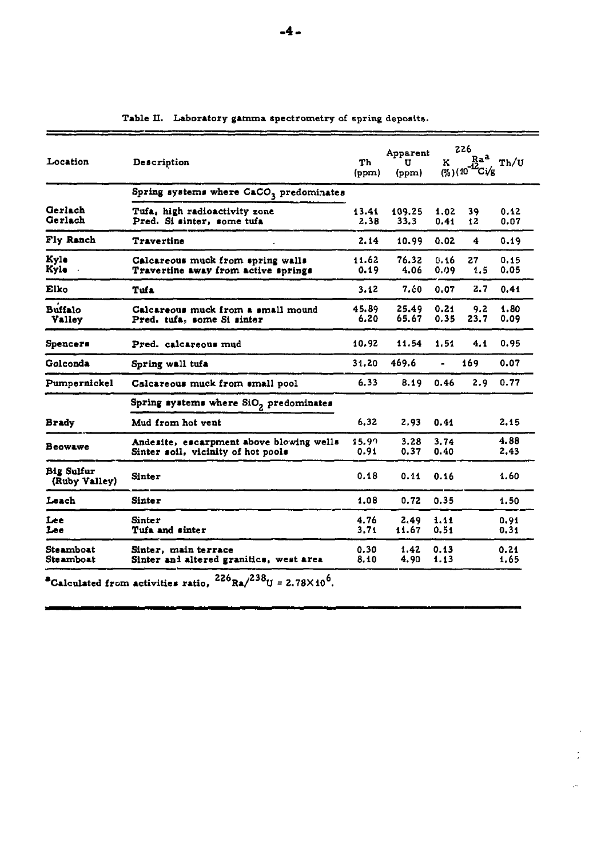| Location                           | Description                                                                    | Тh<br>(ppm)   | Apparent<br>U<br>(ppm) | ĸ            | 226<br>Ra <sup>a</sup><br>$(y_6)(10^{-12}C)/g$ | Th/U         |
|------------------------------------|--------------------------------------------------------------------------------|---------------|------------------------|--------------|------------------------------------------------|--------------|
|                                    | Spring systems where CaCO <sub>3</sub> predominates                            |               |                        |              |                                                |              |
| Gerlach<br>Gerlach                 | Tufa, high radioactivity zone<br>Pred. Si sinter, some tufa                    | 13.41<br>2.38 | 109.25<br>33.3         | 1.02<br>0.41 | 39<br>12                                       | 0.12<br>0.07 |
| Fly Ranch                          | Travertine                                                                     | 2.14          | 10.99                  | 0.02         | 4                                              | 0.19         |
| Kyle<br>Kyle                       | Calcareous muck from spring walls<br>Travertine away from active springs       | 11.62<br>0.19 | 76.32<br>4.06          | 0.16<br>0.09 | 27<br>1,5                                      | 0.15<br>0.05 |
| Elko                               | Tufa                                                                           | 3.12          | 7.60                   | 0.07         | 2.7                                            | 0.41         |
| <b>Buffalo</b><br><b>Valley</b>    | Calcareous muck from a small mound<br>Pred. tufa, some Si sinter               | 45.89<br>6.20 | 25.49<br>65.67         | 0.21<br>0.35 | 9.2<br>23.7                                    | 1.80<br>0.09 |
| <b>Spencers</b>                    | Pred. calcareous mud                                                           | 10.92         | 11.54                  | 1.51         | 4.1                                            | 0.95         |
| Golconda                           | Spring wall tufa                                                               | 31,20         | 469.6                  |              | 169                                            | 0.07         |
| Pumpernickel                       | Calcareous muck from small pool                                                | 6.33          | 8.19                   | 0.46         | 2.9                                            | 0.77         |
|                                    | Spring systems where SiO <sub>2</sub> predominates                             |               |                        |              |                                                |              |
| Brady                              | Mud from hot vent                                                              | 6.32          | 2.93                   | 0.41         |                                                | 2.15         |
| Beowawe                            | Andesite, escarpment above blowing wells<br>Sinter soil, vicinity of hot pools | 15.99<br>0.91 | 3.28<br>0.37           | 3.74<br>0.40 |                                                | 4.88<br>2.43 |
| <b>Big Sulfur</b><br>(Ruby Valley) | Sinter                                                                         | 0.18          | 0.11                   | 0.16         |                                                | 1.60         |
| Leach                              | <b>Sinter</b>                                                                  | 1.08          | 0.72                   | 0.35         |                                                | 1.50         |
| Lee<br>Lee                         | Sinter<br>Tufa and sinter                                                      | 4.76<br>3.71  | 2.49<br>11.67          | 1.11<br>0.51 |                                                | 0.91<br>0.31 |
| Steamboat<br>Steamboat             | Sinter, main terrace<br>Sinter and altered granitics, west area                | 0.30<br>8.10  | 1.42<br>4.90           | 0.13<br>1.13 |                                                | 0.21<br>1.65 |

 $\bar{z}$  $\frac{1}{2}$ 

 $\mathcal{L}^{(1)}$ 

**Table II. Laboratory gamma spectrometry** of spring deposits-

 $^2$ Calculated from activities ratio,  $^{220}$ Ra/ $^{230}$ U = 2.78 $\times$ 10<sup>o</sup>.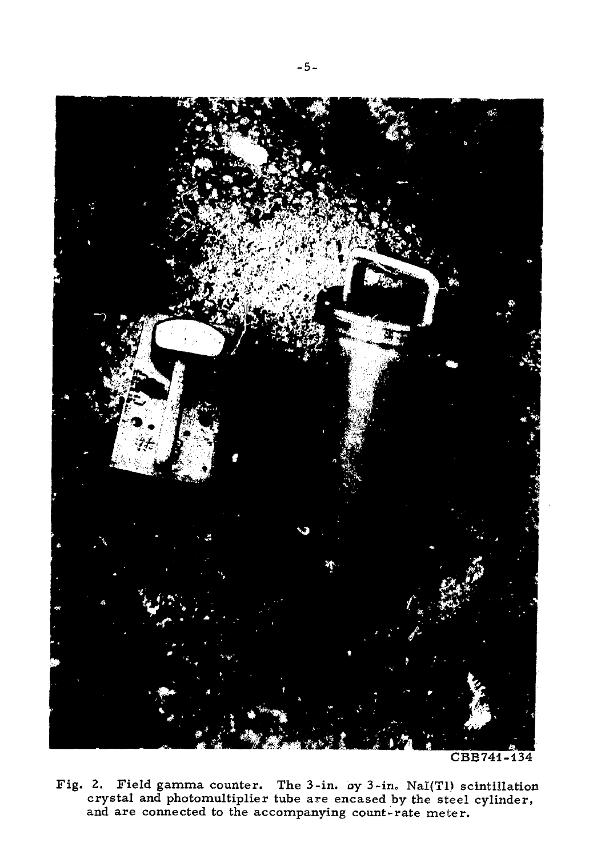

CBB741-134

Fig. 2. Field gamma counter. The 3-in. oy 3-in. NaI(T1) scintillation crystal and photomultiplier tube are encased by the steel cylinder, and are connected to the accompanying count-rate meter.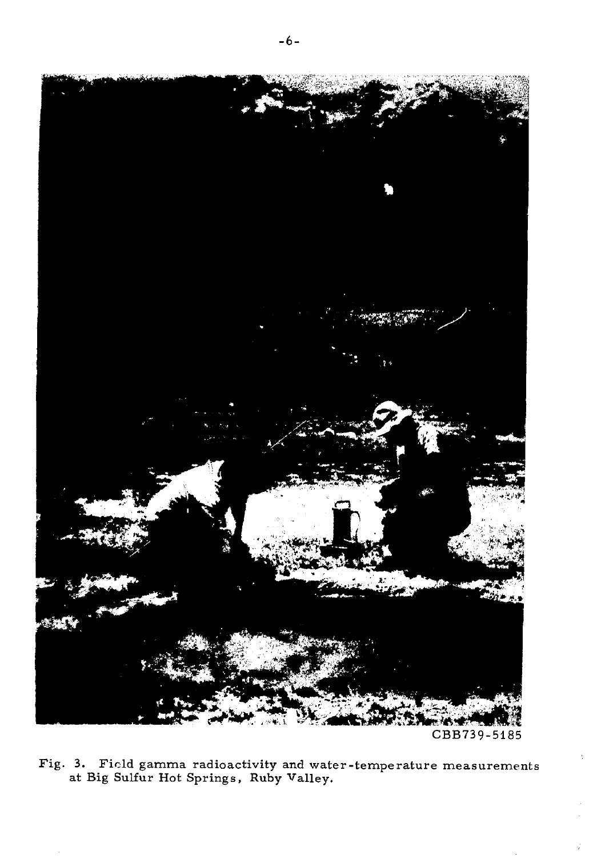

Fig. 3. Field gamma radioactivity and water-temperature measurements<br>at Big Sulfur Hot Springs, Ruby Valley.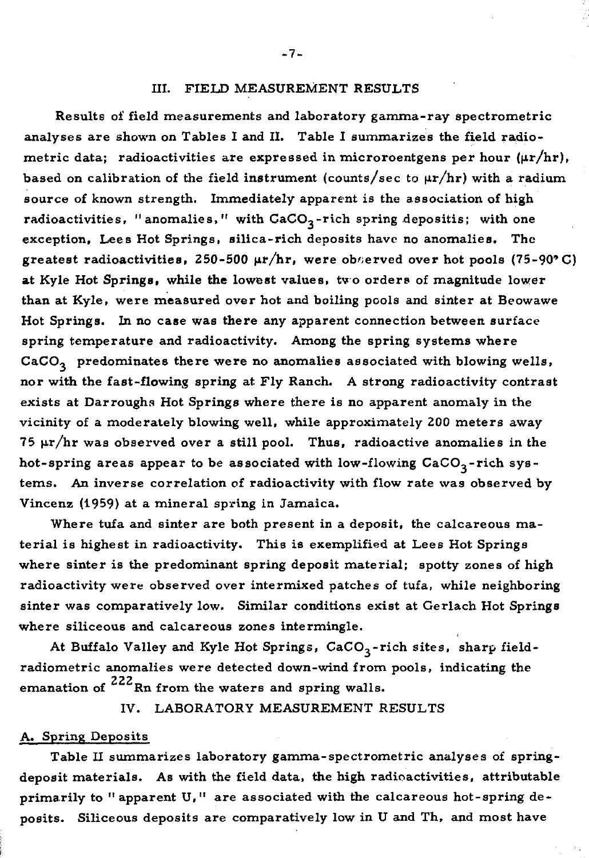#### III. FIELD MEASUREMENT RESULTS

Results of field measurements and laboratory gamma-ray spectrometric analyses are shown on Tables I and II. Table I summarizes the field radiometric data; radioactivities are expressed in microroentgens per hour  $(\mu r/hr)$ , based on calibration of the field instrument (counts/sec to  $\mu r/hr$ ) with a radium source of known strength. Immediately apparent is the association of high radioactivities, "anomalies," with  $CaCO<sub>3</sub>$ -rich spring depositis; with one exception, Lees Hot Springs, silica-rich deposits have no anomalies. The greatest radioactivities, 250-500  $\mu$ r/hr, were observed over hot pools (75-90°C) at Kyle Hot Springs, while **the** lowest values, tv o orders of magnitude lower than at Kyle, were measured over hot and boiling pools and sinter at Beowawe Hot Springs. In no case was there any apparent connection between surface spring temperature and radioactivity. Among the spring systems where  $CaCO<sub>3</sub>$  predominates there were no anomalies associated with blowing wells, nor with the fast-flowing spring at Fly Ranch. A strong radioactivity contrast exists at Darroughs Hot Springs where there is no apparent anomaly in the vicinity of a moderately blowing well, while approximately 200 meters away 75  $\mu$ r/hr was observed over a still pool. Thus, radioactive anomalies in the hot-spring areas appear to be associated with low-flowing  $CaCO<sub>3</sub>$ -rich systems. An inverse correlation of radioactivity with flow rate was observed by Vincenz (1959) at a mineral spring in Jamaica.

Where tufa and sinter are both present in a deposit, the calcareous material is highest in radioactivity. This is exemplified at Lees Hot Springs where sinter is the predominant spring deposit material; spotty zones of high radioactivity were observed over intermixed patches of tufa, while neighboring sinter was comparatively low. Similar conditions exist at Gerlach Hot Springs where siliceous and calcareous zones intermingle.

At Buffalo Valley and Kyle Hot Springs, CaCO<sub>3</sub>-rich sites, sharp fieldradiometric anomalies were detected down-wind from pools, indicating the emanation of  $^{222}$ Rn from the waters and spring walls.

IV. LABORATORY MEASUREMENT RESULTS

#### A. Spring Deposits

Table II summarizes laboratory gamma-spectrometric analyses of springdeposit materials. As with the field data, the high radioactivities, attributable primarily to "apparent U," are associated with the calcareous hot-spring deposits. Siliceous deposits are comparatively low in U and Th, and most have

**- 7 -**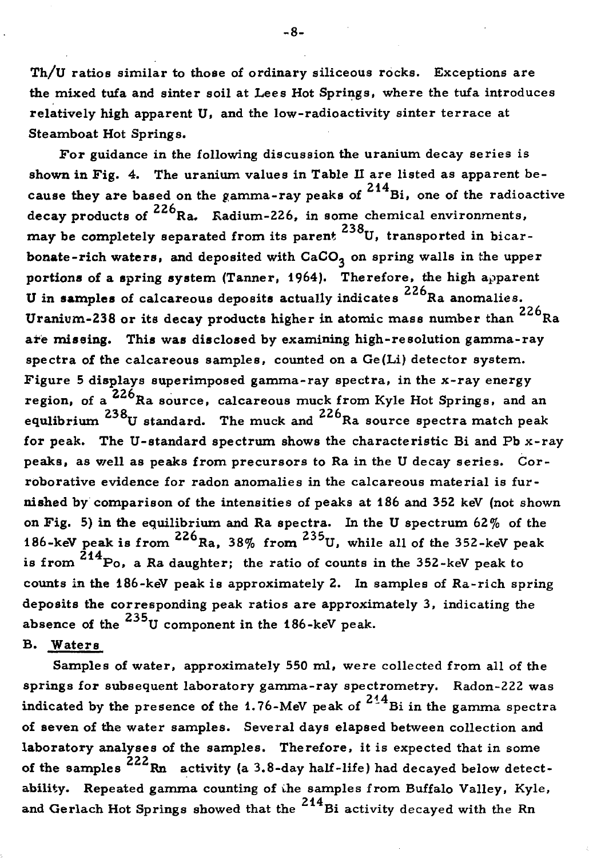Th/U ratios similar to those of ordinary siliceous rocks. Exceptions are the mixed tufa and sinter soil at Lees Hot Springs, where the tufa introduces relatively high apparent U, and the low-radioactivity sinter terrace at Steamboat Hot Springs.

For guidance in the following discussion the uranium decay series is shown in Fig. 4. The uranium values in Table II are listed as apparent because they are based on the gamma-ray peaks of  $214$ Bi, one of the radioactive decay products of  $^{226}$ Ra. Radium-226, in some chemical environments, 238 may be completely separated from its parent. U, transported in bicarbonate-rich waters, and deposited with  $CaCO<sub>3</sub>$  on spring walls in the upper portions of a spring system (Tanner, 1964). Therefore, the high apparent U in samples of calcareous deposits actually indicates  $226$ Ra anomalies. Uranium-238 or its decay products higher in atomic mass number than  $^{226}$ Ra are missing. This was disclosed by examining high-resolution gamma-ray spectra of the calcareous samples, counted on a Ge(Li) detector system. Figure 5 displays superimposed gamma-ray spectra, in the x-ray energy region, of a <sup>226</sup>Ra source, calcareous muck from Kyle Hot Springs, and an regulihrism  $^{238}$   $^{128}$  source, calculated much space  $^{226}$  B a source, spectra match poak **b** standard. The mack and for peak. The U-standard spectrum shows the characteristic Bi and Pb  $x$ -ray peaks, as well as peaks from precursors to Ra in the U decay series. Corroborative evidence for radon anomalies in the calcareous material is furmished by comparison of the intensities of peaks at 186 and 352 keV (not shown on Fig. 5) in the equilibrium and Ra spectra. In the U spectrum  $62\%$  of the 186-keV peak is from  $226$ Ra, 38% from  $235$ U, while all of the 352-keV peak is from end of counts in the 352-keV peak to is from the state of the state of the state of the state of the s counts in the 186-keV peak is approximately 2. In samples of Ra-rich spring deposits the corresponding peak ratios are approximately 3. indicating the absence of the  $^{235}$ U component in the 186-keV peak.

B. Waters

Samples of water, approximately 550 ml, were collected from all of the springs for subsequent laboratory gamma-ray spectrometry. Radon-222 was indicated by the presence of the 1.76-MeV peak of  $\frac{234}{13}$ Bi in the gamma-spectra of seven of the water samples. Several days elapsed between collection and laboratory analyses of the samples. Therefore, it is expected that in some iaboratory analyses of the samples. Therefore, it is expected that in some<br>of the samples <sup>222</sup>Rn activity (a 3.8-day half-life) had decayed below detectability. Repeated gamma counting of the samples from Buffalo Valley, Kyle, and Gerlach Hot Springs showed that the  $214$  Bi activity decayed with the Rn

**- 8 -**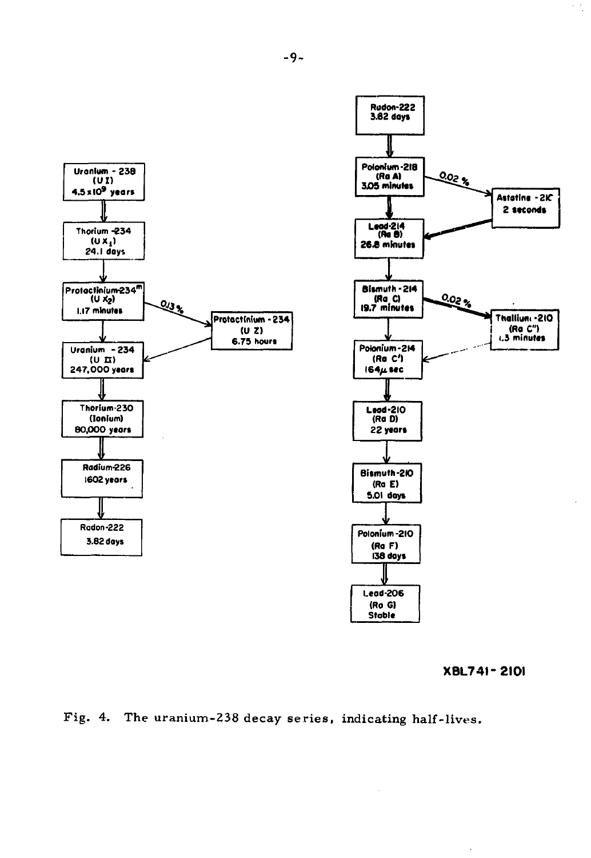

**XBL74I-2I0I** 



**-9-**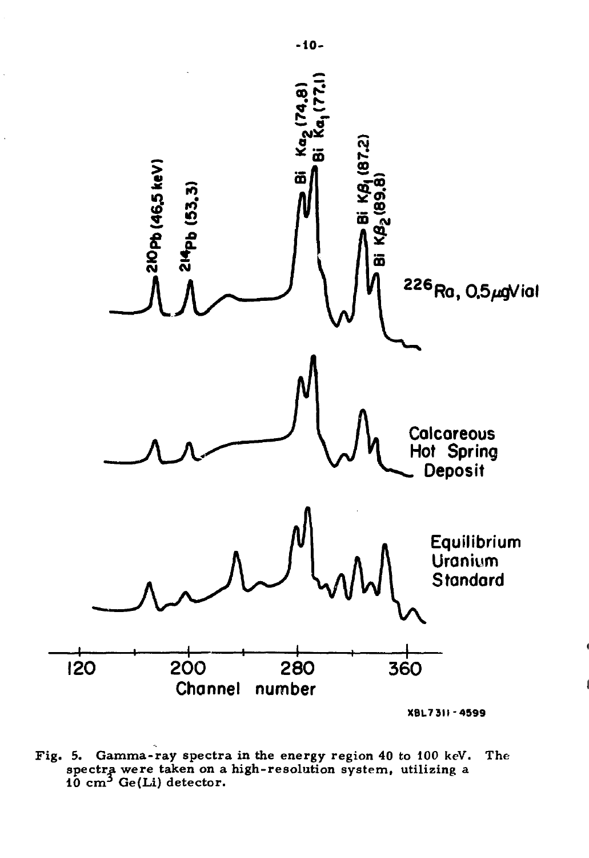

**Fig. 5. Gamma-ray spectra in the energy region 40 to 100 keV. spectra were taken on a high-resolution system, utilizing a 10 cm<sup>3</sup> Ge(Li) detector. The-**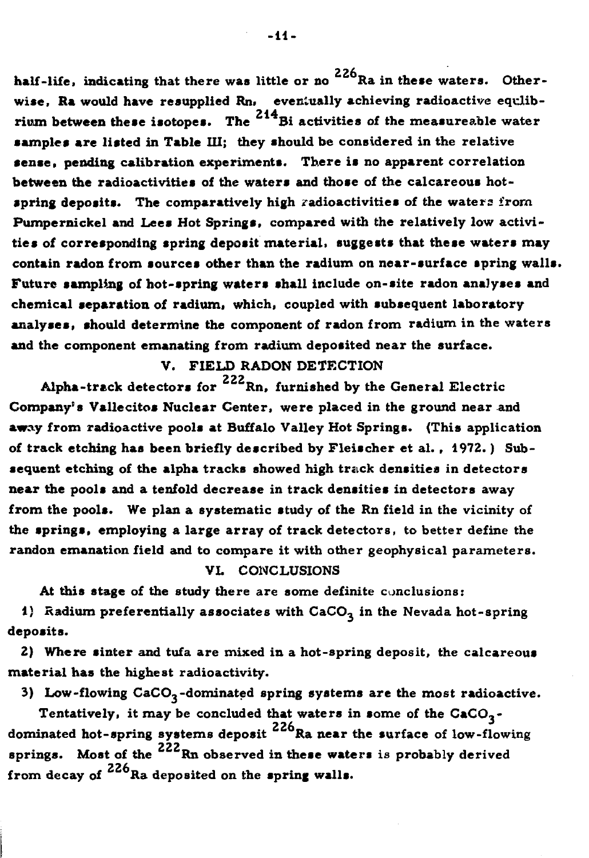**226 half-life, indicating that there was little or no Ra in these waters. Other**wise, Ra would have resupplied Rn, eventually achieving radioactive equlibrium between these isotopes. The <sup>214</sup>Bi activities of the measureable water **samples are listed in Table III; they should be considered in the relative sense , pending calibration experiments. There is no apparent correlation between the radioactivities of the waters and those of the calcareous hotspring deposits. The comparatively high radioactivities of the waters from Pumpernickel and Lees Hot Springs, compared with the relatively low activitie s of corresponding spring deposit material, suggests that these waters may contain radon from sources other than the radium on near-surface spring walls. Future sampling of hot-spring waters shall include on-site radon analyses and chemical separation of radium, which, coupled with subsequent laboratory analyses, should determine the component of radon from radium in the waters and the component emanating from radium deposited near the surface.** 

# **V. FIELD RADON DETECTION**

**222 Alpha-track detectors for Rn, furnished by the General Electric Company's Vallecitos Nuclear Center, were placed in the ground near and away from radioactive pools at Buffalo Valley Hot Springs. (This application of track etching has been briefly described by Fleische r et al. , 1972.) Subsequent etching of the alpha tracks showed high track densities in detectors near the pools and a tenfold decrease in track densities in detectors away from the pools. We plan a systematic study of the Rn field in the vicinity of the springs, employing a large array of track detectors, to better define the randon emanation field and to compare it with other geophysical parameters.** 

## **VL CONCLUSIONS**

**At this stage of the study there are some definite conclusions:** 

1) Radium preferentially associates with CaCO<sub>3</sub> in the Nevada hot-spring **deposits.** 

**2) Where sinter and tufa are mixed in a hot-spring deposit, the calcareous material has the highest radioactivity.** 

**3) Low-flowing CaCO,-dominated spring systems are the most radioactive.** 

**Tentatively, it may be concluded that waters in some of the CaCO,- 226 dominated hot-spring systems deposit Ra near the surface of low-flowing 222 22 a** a springs. Most of the <sup>222</sup> **Rn** observed in these waters is probably derived **226 from decay of Ra deposited on the spring walls.** 

**-li -**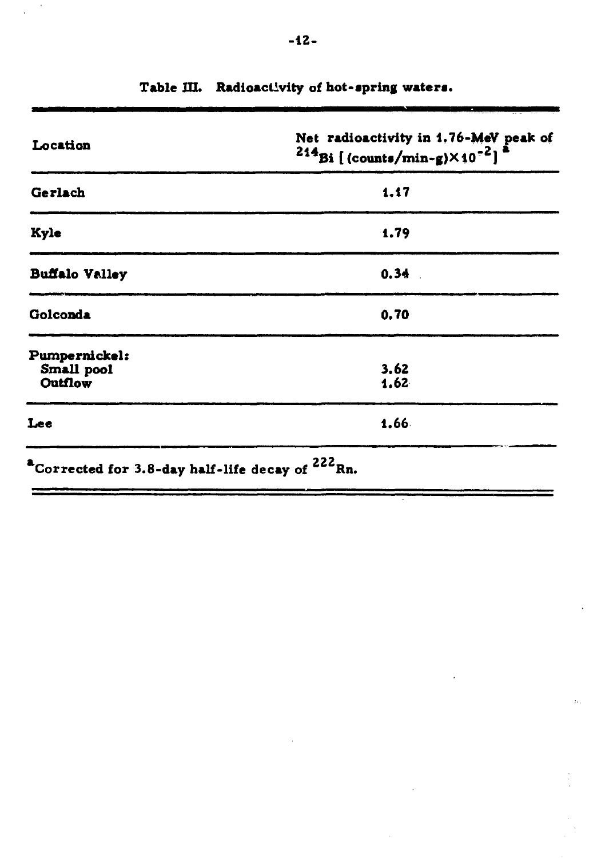| Location                                                                          | Net radioactivity in 1.76-MeV peak of<br>$^{214}$ Bi [(counts/min-g) $\times$ 10 <sup>-2</sup> ] <sup>a</sup> |
|-----------------------------------------------------------------------------------|---------------------------------------------------------------------------------------------------------------|
| Gerlach                                                                           | 1.17                                                                                                          |
| Kyle                                                                              | 1.79                                                                                                          |
| <b>Buffalo Valley</b>                                                             | 0.34                                                                                                          |
| Golconda                                                                          | 0.70                                                                                                          |
| Pumpernickel:<br>Small pool<br>Outflow                                            | 3.62<br>1.62                                                                                                  |
| Lee                                                                               | 1.66                                                                                                          |
| $^{\text{\textregistered}}$ Corrected for 3.8-day half-life decay of $^{222}$ Rn. |                                                                                                               |

 $\mathbb{N}^{\mathbb{N}}$ 

**Table III. Radioactivity of hot-apring waters.**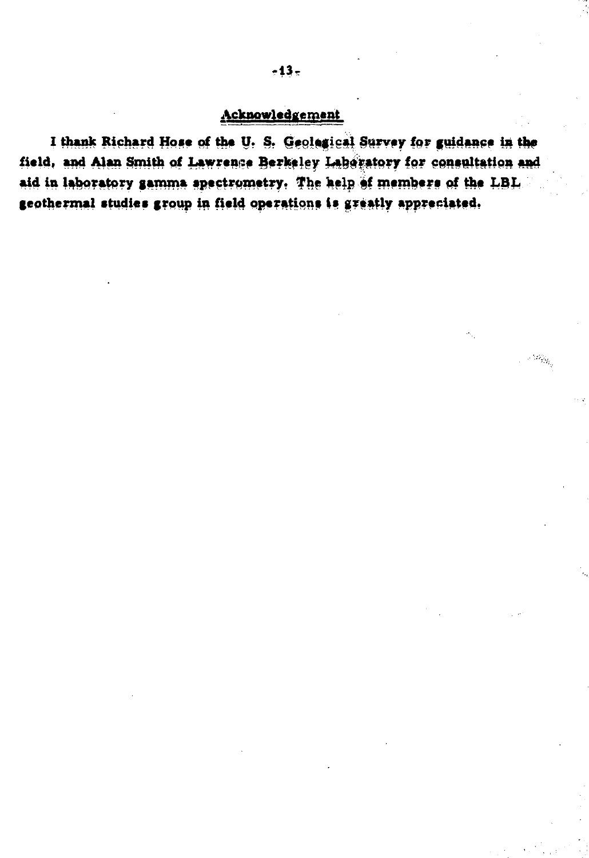## **Acknowledgement**

I thank Richard Hose of the U. S. Geolegical Survey for guidance in the field, and Alan Smith of Lawrence Berkeley Laboratory for consultation and aid in laboratory samma spectrometry. The help of members of the LBL **geothermal studies group in field operations Is greatly appreciated.** 

 $\omega_{\tilde{M}_i}$